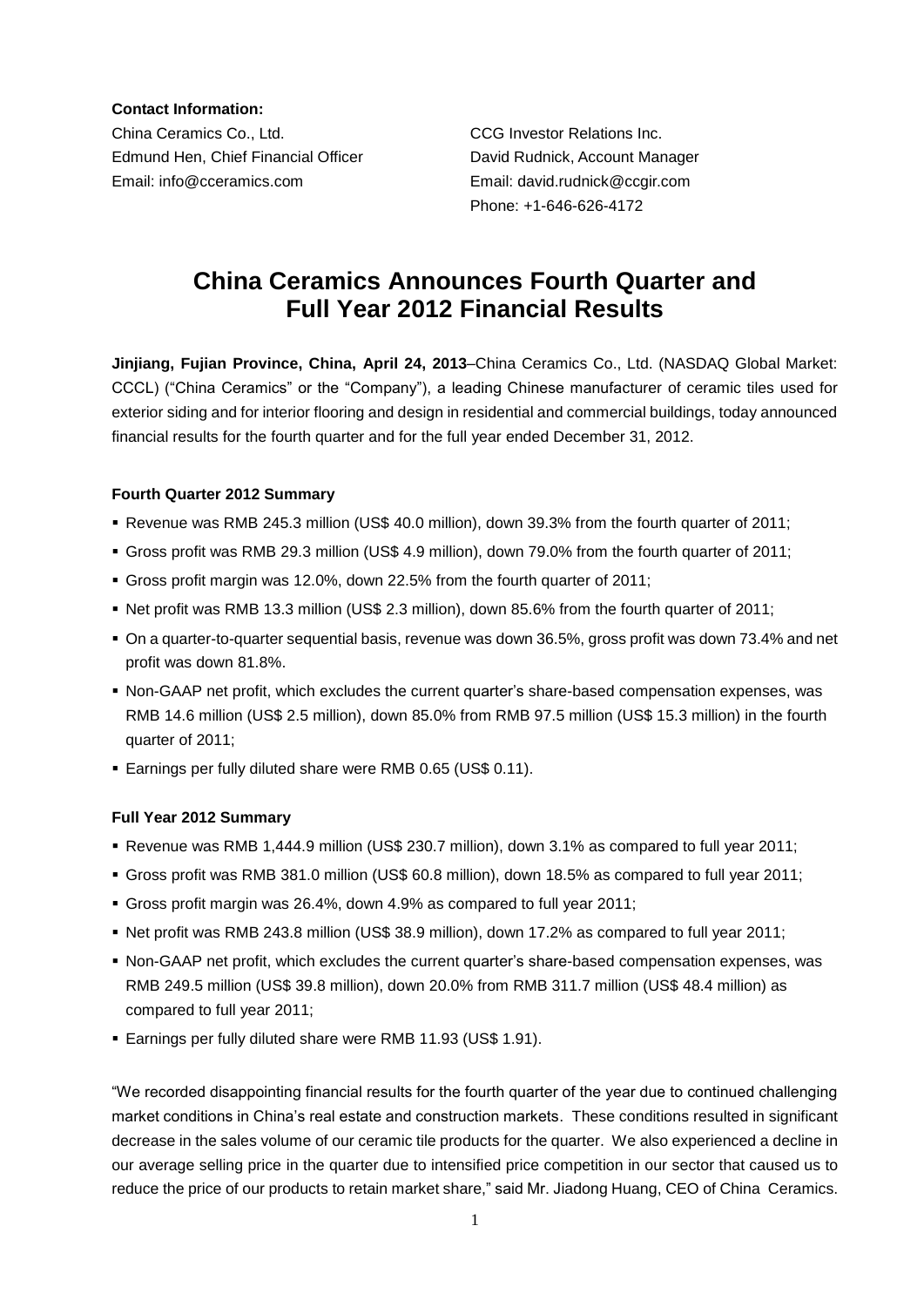**Contact Information:**

China Ceramics Co., Ltd. CCG Investor Relations Inc. Edmund Hen, Chief Financial Officer David Rudnick, Account Manager Email: info@cceramics.com Email: david.rudnick@ccgir.com

Phone: +1-646-626-4172

# **China Ceramics Announces Fourth Quarter and Full Year 2012 Financial Results**

**Jinjiang, Fujian Province, China, April 24, 2013**–China Ceramics Co., Ltd. (NASDAQ Global Market: CCCL) ("China Ceramics" or the "Company"), a leading Chinese manufacturer of ceramic tiles used for exterior siding and for interior flooring and design in residential and commercial buildings, today announced financial results for the fourth quarter and for the full year ended December 31, 2012.

# **Fourth Quarter 2012 Summary**

- Revenue was RMB 245.3 million (US\$ 40.0 million), down 39.3% from the fourth quarter of 2011;
- Gross profit was RMB 29.3 million (US\$ 4.9 million), down 79.0% from the fourth quarter of 2011;
- Gross profit margin was 12.0%, down 22.5% from the fourth quarter of 2011;
- Net profit was RMB 13.3 million (US\$ 2.3 million), down 85.6% from the fourth quarter of 2011;
- On a quarter-to-quarter sequential basis, revenue was down 36.5%, gross profit was down 73.4% and net profit was down 81.8%.
- Non-GAAP net profit, which excludes the current quarter's share-based compensation expenses, was RMB 14.6 million (US\$ 2.5 million), down 85.0% from RMB 97.5 million (US\$ 15.3 million) in the fourth quarter of 2011;
- Earnings per fully diluted share were RMB 0.65 (US\$ 0.11).

# **Full Year 2012 Summary**

- Revenue was RMB 1,444.9 million (US\$ 230.7 million), down 3.1% as compared to full year 2011;
- Gross profit was RMB 381.0 million (US\$ 60.8 million), down 18.5% as compared to full year 2011;
- Gross profit margin was 26.4%, down 4.9% as compared to full year 2011;
- Net profit was RMB 243.8 million (US\$ 38.9 million), down 17.2% as compared to full year 2011;
- Non-GAAP net profit, which excludes the current quarter's share-based compensation expenses, was RMB 249.5 million (US\$ 39.8 million), down 20.0% from RMB 311.7 million (US\$ 48.4 million) as compared to full year 2011;
- Earnings per fully diluted share were RMB 11.93 (US\$ 1.91).

"We recorded disappointing financial results for the fourth quarter of the year due to continued challenging market conditions in China's real estate and construction markets. These conditions resulted in significant decrease in the sales volume of our ceramic tile products for the quarter. We also experienced a decline in our average selling price in the quarter due to intensified price competition in our sector that caused us to reduce the price of our products to retain market share," said Mr. Jiadong Huang, CEO of China Ceramics.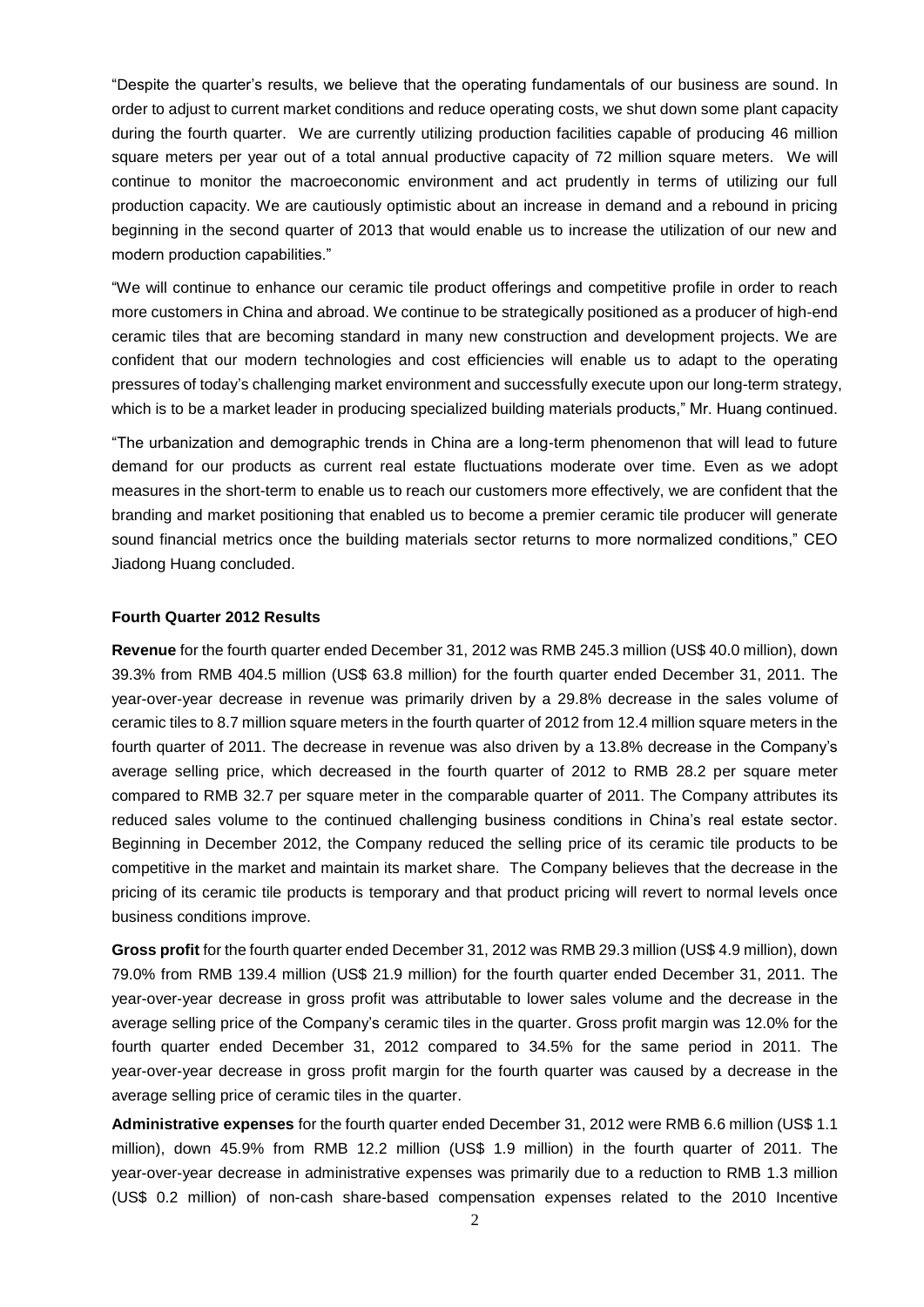"Despite the quarter's results, we believe that the operating fundamentals of our business are sound. In order to adjust to current market conditions and reduce operating costs, we shut down some plant capacity during the fourth quarter. We are currently utilizing production facilities capable of producing 46 million square meters per year out of a total annual productive capacity of 72 million square meters. We will continue to monitor the macroeconomic environment and act prudently in terms of utilizing our full production capacity. We are cautiously optimistic about an increase in demand and a rebound in pricing beginning in the second quarter of 2013 that would enable us to increase the utilization of our new and modern production capabilities."

"We will continue to enhance our ceramic tile product offerings and competitive profile in order to reach more customers in China and abroad. We continue to be strategically positioned as a producer of high-end ceramic tiles that are becoming standard in many new construction and development projects. We are confident that our modern technologies and cost efficiencies will enable us to adapt to the operating pressures of today's challenging market environment and successfully execute upon our long-term strategy, which is to be a market leader in producing specialized building materials products," Mr. Huang continued.

"The urbanization and demographic trends in China are a long-term phenomenon that will lead to future demand for our products as current real estate fluctuations moderate over time. Even as we adopt measures in the short-term to enable us to reach our customers more effectively, we are confident that the branding and market positioning that enabled us to become a premier ceramic tile producer will generate sound financial metrics once the building materials sector returns to more normalized conditions," CEO Jiadong Huang concluded.

#### **Fourth Quarter 2012 Results**

**Revenue** for the fourth quarter ended December 31, 2012 was RMB 245.3 million (US\$ 40.0 million), down 39.3% from RMB 404.5 million (US\$ 63.8 million) for the fourth quarter ended December 31, 2011. The year-over-year decrease in revenue was primarily driven by a 29.8% decrease in the sales volume of ceramic tiles to 8.7 million square meters in the fourth quarter of 2012 from 12.4 million square meters in the fourth quarter of 2011. The decrease in revenue was also driven by a 13.8% decrease in the Company's average selling price, which decreased in the fourth quarter of 2012 to RMB 28.2 per square meter compared to RMB 32.7 per square meter in the comparable quarter of 2011. The Company attributes its reduced sales volume to the continued challenging business conditions in China's real estate sector. Beginning in December 2012, the Company reduced the selling price of its ceramic tile products to be competitive in the market and maintain its market share. The Company believes that the decrease in the pricing of its ceramic tile products is temporary and that product pricing will revert to normal levels once business conditions improve.

**Gross profit** for the fourth quarter ended December 31, 2012 was RMB 29.3 million (US\$ 4.9 million), down 79.0% from RMB 139.4 million (US\$ 21.9 million) for the fourth quarter ended December 31, 2011. The year-over-year decrease in gross profit was attributable to lower sales volume and the decrease in the average selling price of the Company's ceramic tiles in the quarter. Gross profit margin was 12.0% for the fourth quarter ended December 31, 2012 compared to 34.5% for the same period in 2011. The year-over-year decrease in gross profit margin for the fourth quarter was caused by a decrease in the average selling price of ceramic tiles in the quarter.

**Administrative expenses** for the fourth quarter ended December 31, 2012 were RMB 6.6 million (US\$ 1.1 million), down 45.9% from RMB 12.2 million (US\$ 1.9 million) in the fourth quarter of 2011. The year-over-year decrease in administrative expenses was primarily due to a reduction to RMB 1.3 million (US\$ 0.2 million) of non-cash share-based compensation expenses related to the 2010 Incentive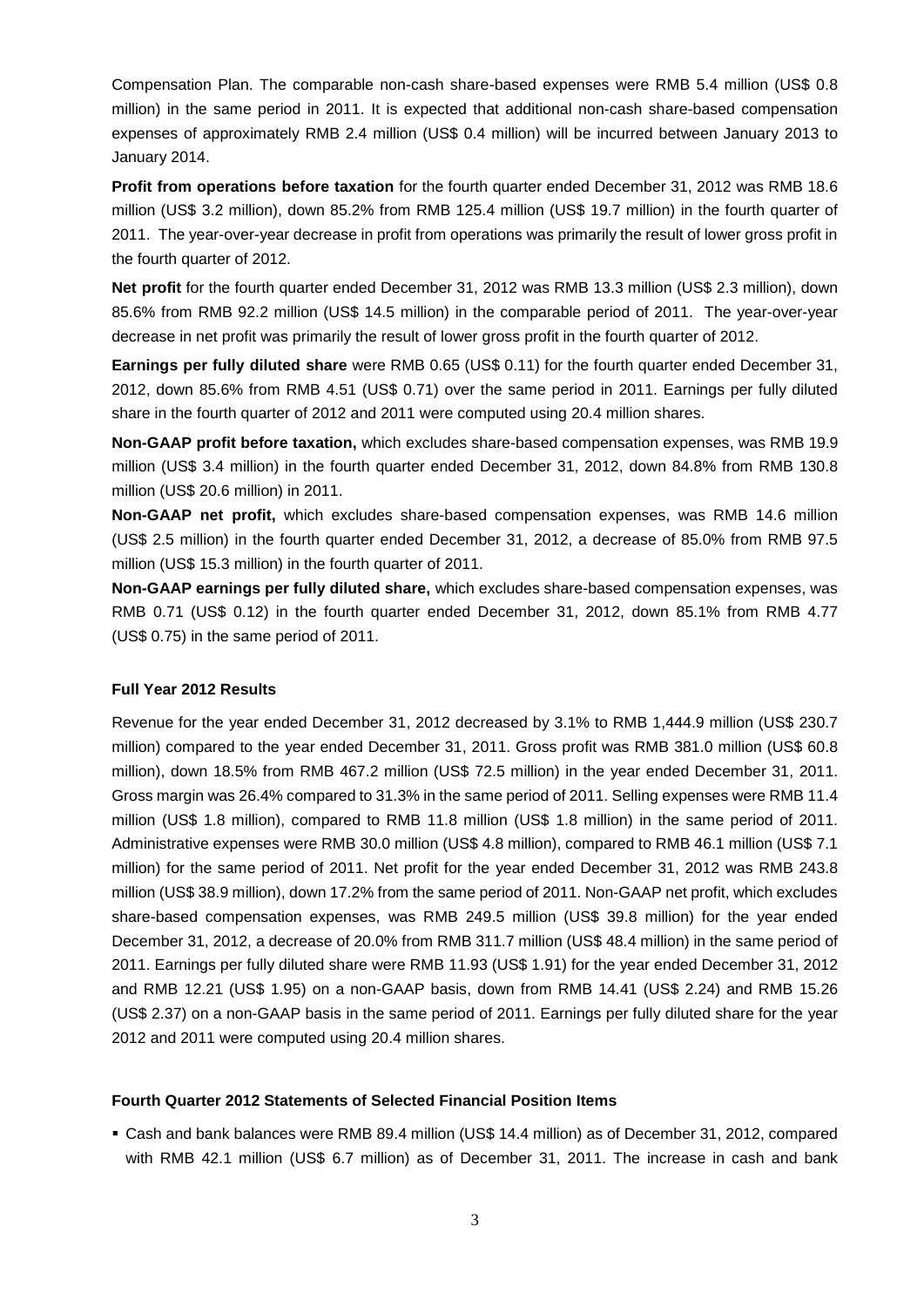Compensation Plan. The comparable non-cash share-based expenses were RMB 5.4 million (US\$ 0.8 million) in the same period in 2011. It is expected that additional non-cash share-based compensation expenses of approximately RMB 2.4 million (US\$ 0.4 million) will be incurred between January 2013 to January 2014.

**Profit from operations before taxation** for the fourth quarter ended December 31, 2012 was RMB 18.6 million (US\$ 3.2 million), down 85.2% from RMB 125.4 million (US\$ 19.7 million) in the fourth quarter of 2011. The year-over-year decrease in profit from operations was primarily the result of lower gross profit in the fourth quarter of 2012.

**Net profit** for the fourth quarter ended December 31, 2012 was RMB 13.3 million (US\$ 2.3 million), down 85.6% from RMB 92.2 million (US\$ 14.5 million) in the comparable period of 2011. The year-over-year decrease in net profit was primarily the result of lower gross profit in the fourth quarter of 2012.

**Earnings per fully diluted share** were RMB 0.65 (US\$ 0.11) for the fourth quarter ended December 31, 2012, down 85.6% from RMB 4.51 (US\$ 0.71) over the same period in 2011. Earnings per fully diluted share in the fourth quarter of 2012 and 2011 were computed using 20.4 million shares.

**Non-GAAP profit before taxation,** which excludes share-based compensation expenses, was RMB 19.9 million (US\$ 3.4 million) in the fourth quarter ended December 31, 2012, down 84.8% from RMB 130.8 million (US\$ 20.6 million) in 2011.

**Non-GAAP net profit,** which excludes share-based compensation expenses, was RMB 14.6 million (US\$ 2.5 million) in the fourth quarter ended December 31, 2012, a decrease of 85.0% from RMB 97.5 million (US\$ 15.3 million) in the fourth quarter of 2011.

**Non-GAAP earnings per fully diluted share,** which excludes share-based compensation expenses, was RMB 0.71 (US\$ 0.12) in the fourth quarter ended December 31, 2012, down 85.1% from RMB 4.77 (US\$ 0.75) in the same period of 2011.

### **Full Year 2012 Results**

Revenue for the year ended December 31, 2012 decreased by 3.1% to RMB 1,444.9 million (US\$ 230.7 million) compared to the year ended December 31, 2011. Gross profit was RMB 381.0 million (US\$ 60.8 million), down 18.5% from RMB 467.2 million (US\$ 72.5 million) in the year ended December 31, 2011. Gross margin was 26.4% compared to 31.3% in the same period of 2011. Selling expenses were RMB 11.4 million (US\$ 1.8 million), compared to RMB 11.8 million (US\$ 1.8 million) in the same period of 2011. Administrative expenses were RMB 30.0 million (US\$ 4.8 million), compared to RMB 46.1 million (US\$ 7.1 million) for the same period of 2011. Net profit for the year ended December 31, 2012 was RMB 243.8 million (US\$ 38.9 million), down 17.2% from the same period of 2011. Non-GAAP net profit, which excludes share-based compensation expenses, was RMB 249.5 million (US\$ 39.8 million) for the year ended December 31, 2012, a decrease of 20.0% from RMB 311.7 million (US\$ 48.4 million) in the same period of 2011. Earnings per fully diluted share were RMB 11.93 (US\$ 1.91) for the year ended December 31, 2012 and RMB 12.21 (US\$ 1.95) on a non-GAAP basis, down from RMB 14.41 (US\$ 2.24) and RMB 15.26 (US\$ 2.37) on a non-GAAP basis in the same period of 2011. Earnings per fully diluted share for the year 2012 and 2011 were computed using 20.4 million shares.

### **Fourth Quarter 2012 Statements of Selected Financial Position Items**

 Cash and bank balances were RMB 89.4 million (US\$ 14.4 million) as of December 31, 2012, compared with RMB 42.1 million (US\$ 6.7 million) as of December 31, 2011. The increase in cash and bank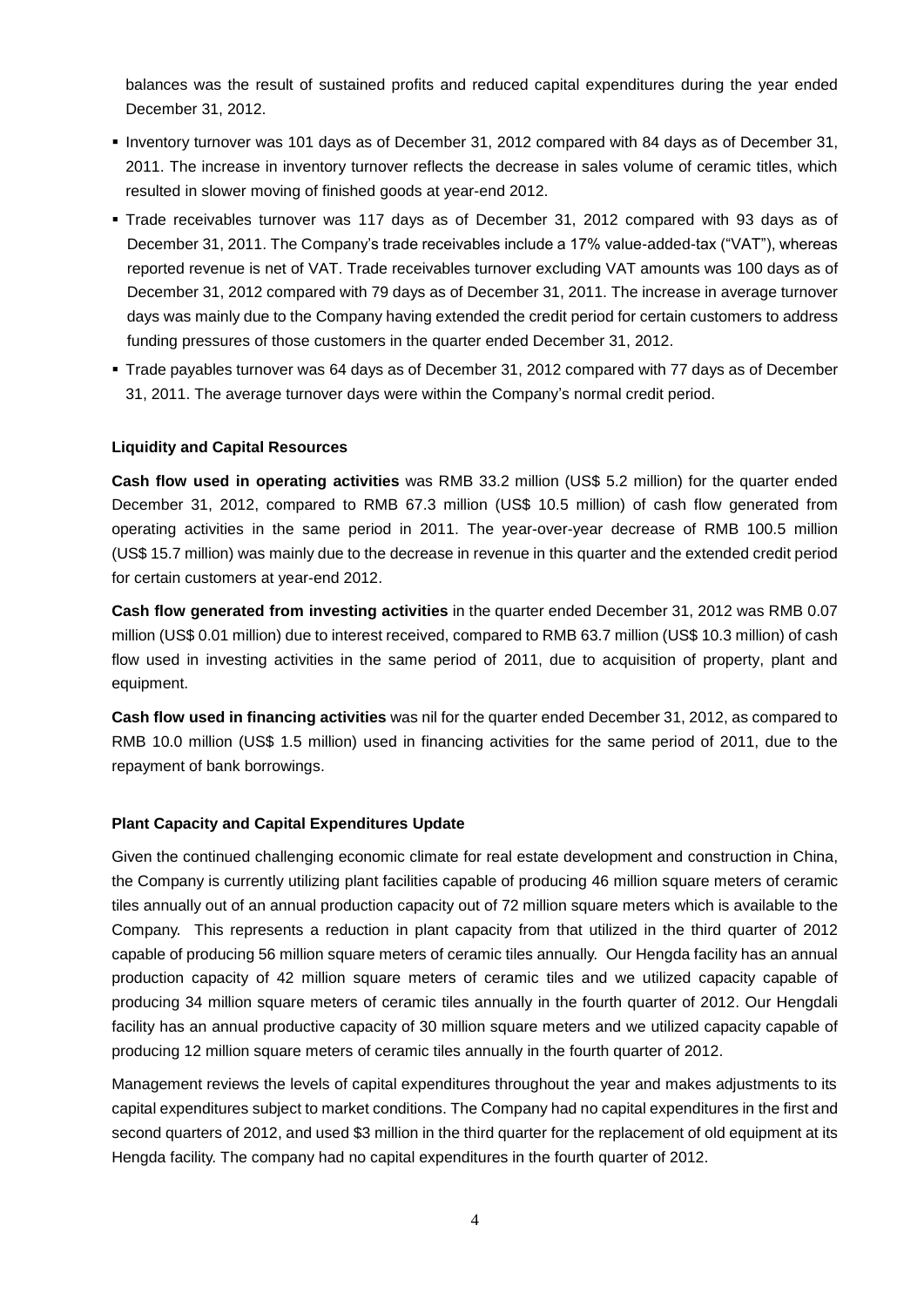balances was the result of sustained profits and reduced capital expenditures during the year ended December 31, 2012.

- Inventory turnover was 101 days as of December 31, 2012 compared with 84 days as of December 31, 2011. The increase in inventory turnover reflects the decrease in sales volume of ceramic titles, which resulted in slower moving of finished goods at year-end 2012.
- Trade receivables turnover was 117 days as of December 31, 2012 compared with 93 days as of December 31, 2011. The Company's trade receivables include a 17% value-added-tax ("VAT"), whereas reported revenue is net of VAT. Trade receivables turnover excluding VAT amounts was 100 days as of December 31, 2012 compared with 79 days as of December 31, 2011. The increase in average turnover days was mainly due to the Company having extended the credit period for certain customers to address funding pressures of those customers in the quarter ended December 31, 2012.
- Trade payables turnover was 64 days as of December 31, 2012 compared with 77 days as of December 31, 2011. The average turnover days were within the Company's normal credit period.

# **Liquidity and Capital Resources**

**Cash flow used in operating activities** was RMB 33.2 million (US\$ 5.2 million) for the quarter ended December 31, 2012, compared to RMB 67.3 million (US\$ 10.5 million) of cash flow generated from operating activities in the same period in 2011. The year-over-year decrease of RMB 100.5 million (US\$ 15.7 million) was mainly due to the decrease in revenue in this quarter and the extended credit period for certain customers at year-end 2012.

**Cash flow generated from investing activities** in the quarter ended December 31, 2012 was RMB 0.07 million (US\$ 0.01 million) due to interest received, compared to RMB 63.7 million (US\$ 10.3 million) of cash flow used in investing activities in the same period of 2011, due to acquisition of property, plant and equipment.

**Cash flow used in financing activities** was nil for the quarter ended December 31, 2012, as compared to RMB 10.0 million (US\$ 1.5 million) used in financing activities for the same period of 2011, due to the repayment of bank borrowings.

# **Plant Capacity and Capital Expenditures Update**

Given the continued challenging economic climate for real estate development and construction in China, the Company is currently utilizing plant facilities capable of producing 46 million square meters of ceramic tiles annually out of an annual production capacity out of 72 million square meters which is available to the Company. This represents a reduction in plant capacity from that utilized in the third quarter of 2012 capable of producing 56 million square meters of ceramic tiles annually. Our Hengda facility has an annual production capacity of 42 million square meters of ceramic tiles and we utilized capacity capable of producing 34 million square meters of ceramic tiles annually in the fourth quarter of 2012. Our Hengdali facility has an annual productive capacity of 30 million square meters and we utilized capacity capable of producing 12 million square meters of ceramic tiles annually in the fourth quarter of 2012.

Management reviews the levels of capital expenditures throughout the year and makes adjustments to its capital expenditures subject to market conditions. The Company had no capital expenditures in the first and second quarters of 2012, and used \$3 million in the third quarter for the replacement of old equipment at its Hengda facility. The company had no capital expenditures in the fourth quarter of 2012.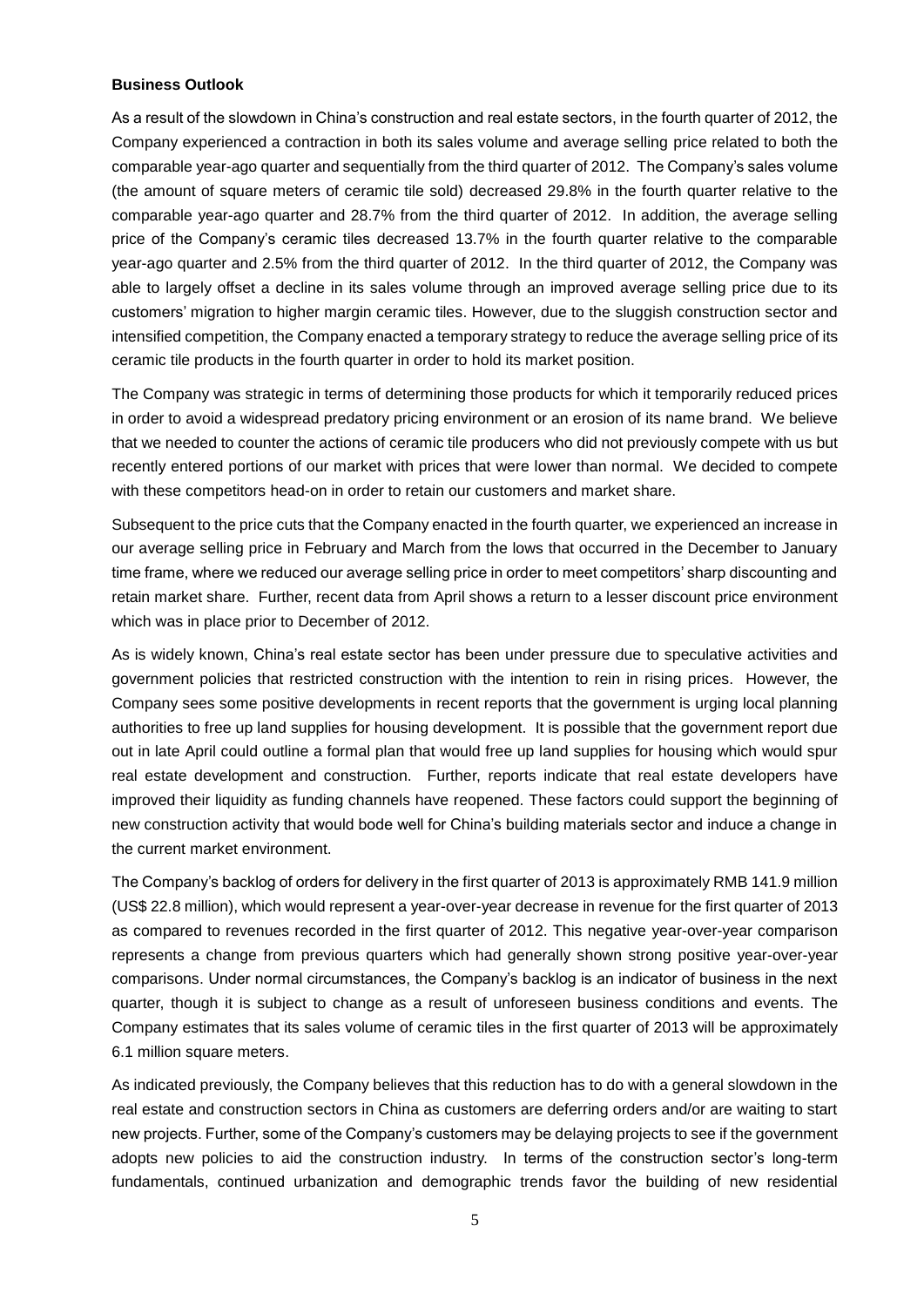#### **Business Outlook**

As a result of the slowdown in China's construction and real estate sectors, in the fourth quarter of 2012, the Company experienced a contraction in both its sales volume and average selling price related to both the comparable year-ago quarter and sequentially from the third quarter of 2012. The Company's sales volume (the amount of square meters of ceramic tile sold) decreased 29.8% in the fourth quarter relative to the comparable year-ago quarter and 28.7% from the third quarter of 2012. In addition, the average selling price of the Company's ceramic tiles decreased 13.7% in the fourth quarter relative to the comparable year-ago quarter and 2.5% from the third quarter of 2012. In the third quarter of 2012, the Company was able to largely offset a decline in its sales volume through an improved average selling price due to its customers' migration to higher margin ceramic tiles. However, due to the sluggish construction sector and intensified competition, the Company enacted a temporary strategy to reduce the average selling price of its ceramic tile products in the fourth quarter in order to hold its market position.

The Company was strategic in terms of determining those products for which it temporarily reduced prices in order to avoid a widespread predatory pricing environment or an erosion of its name brand. We believe that we needed to counter the actions of ceramic tile producers who did not previously compete with us but recently entered portions of our market with prices that were lower than normal. We decided to compete with these competitors head-on in order to retain our customers and market share.

Subsequent to the price cuts that the Company enacted in the fourth quarter, we experienced an increase in our average selling price in February and March from the lows that occurred in the December to January time frame, where we reduced our average selling price in order to meet competitors' sharp discounting and retain market share. Further, recent data from April shows a return to a lesser discount price environment which was in place prior to December of 2012.

As is widely known, China's real estate sector has been under pressure due to speculative activities and government policies that restricted construction with the intention to rein in rising prices. However, the Company sees some positive developments in recent reports that the government is urging local planning authorities to free up land supplies for housing development. It is possible that the government report due out in late April could outline a formal plan that would free up land supplies for housing which would spur real estate development and construction. Further, reports indicate that real estate developers have improved their liquidity as funding channels have reopened. These factors could support the beginning of new construction activity that would bode well for China's building materials sector and induce a change in the current market environment.

The Company's backlog of orders for delivery in the first quarter of 2013 is approximately RMB 141.9 million (US\$ 22.8 million), which would represent a year-over-year decrease in revenue for the first quarter of 2013 as compared to revenues recorded in the first quarter of 2012. This negative year-over-year comparison represents a change from previous quarters which had generally shown strong positive year-over-year comparisons. Under normal circumstances, the Company's backlog is an indicator of business in the next quarter, though it is subject to change as a result of unforeseen business conditions and events. The Company estimates that its sales volume of ceramic tiles in the first quarter of 2013 will be approximately 6.1 million square meters.

As indicated previously, the Company believes that this reduction has to do with a general slowdown in the real estate and construction sectors in China as customers are deferring orders and/or are waiting to start new projects. Further, some of the Company's customers may be delaying projects to see if the government adopts new policies to aid the construction industry. In terms of the construction sector's long-term fundamentals, continued urbanization and demographic trends favor the building of new residential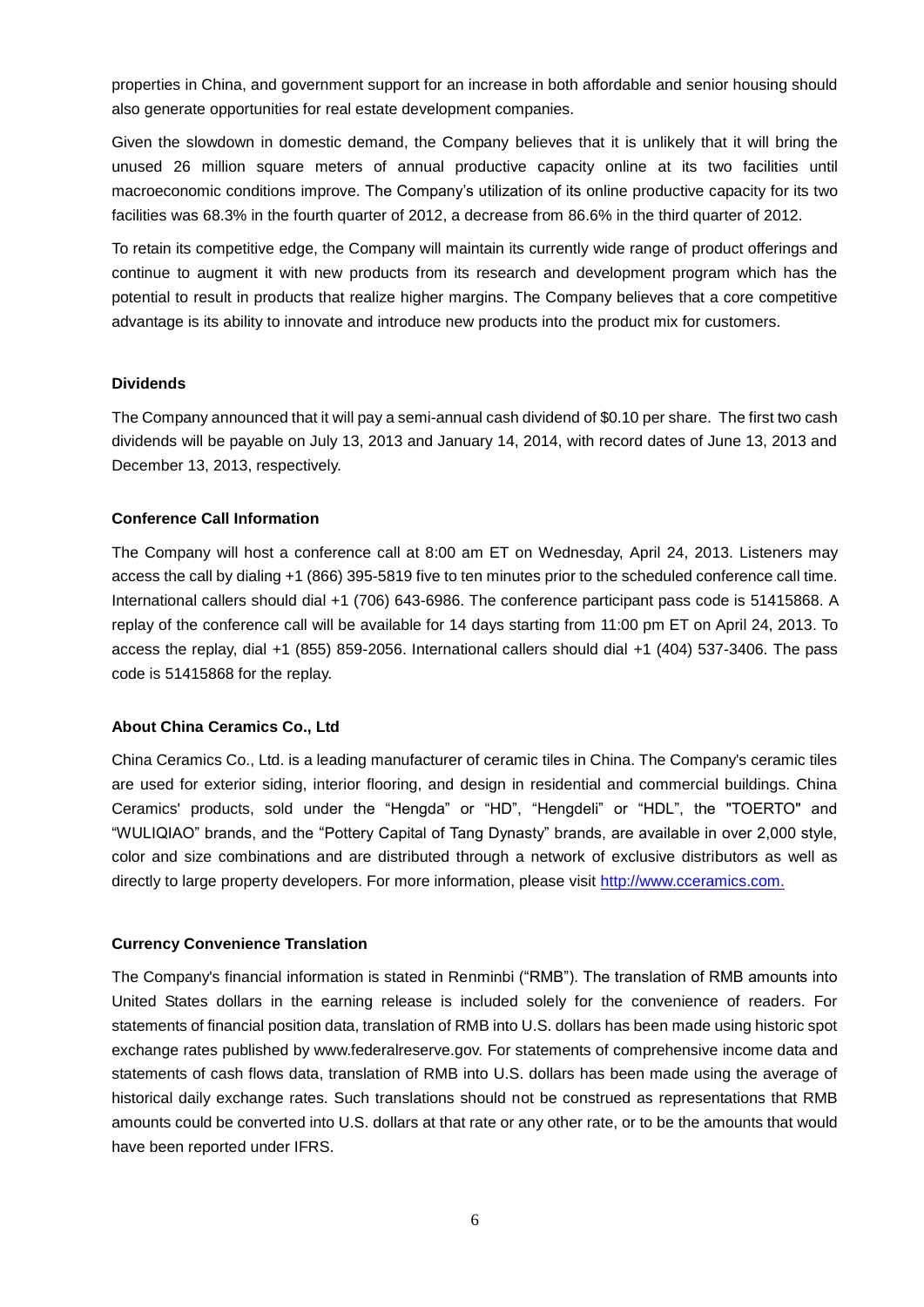properties in China, and government support for an increase in both affordable and senior housing should also generate opportunities for real estate development companies.

Given the slowdown in domestic demand, the Company believes that it is unlikely that it will bring the unused 26 million square meters of annual productive capacity online at its two facilities until macroeconomic conditions improve. The Company's utilization of its online productive capacity for its two facilities was 68.3% in the fourth quarter of 2012, a decrease from 86.6% in the third quarter of 2012.

To retain its competitive edge, the Company will maintain its currently wide range of product offerings and continue to augment it with new products from its research and development program which has the potential to result in products that realize higher margins. The Company believes that a core competitive advantage is its ability to innovate and introduce new products into the product mix for customers.

# **Dividends**

The Company announced that it will pay a semi-annual cash dividend of \$0.10 per share. The first two cash dividends will be payable on July 13, 2013 and January 14, 2014, with record dates of June 13, 2013 and December 13, 2013, respectively.

### **Conference Call Information**

The Company will host a conference call at 8:00 am ET on Wednesday, April 24, 2013. Listeners may access the call by dialing +1 (866) 395-5819 five to ten minutes prior to the scheduled conference call time. International callers should dial +1 (706) 643-6986. The conference participant pass code is 51415868. A replay of the conference call will be available for 14 days starting from 11:00 pm ET on April 24, 2013. To access the replay, dial +1 (855) 859-2056. International callers should dial +1 (404) 537-3406. The pass code is 51415868 for the replay.

#### **About China Ceramics Co., Ltd**

China Ceramics Co., Ltd. is a leading manufacturer of ceramic tiles in China. The Company's ceramic tiles are used for exterior siding, interior flooring, and design in residential and commercial buildings. China Ceramics' products, sold under the "Hengda" or "HD", "Hengdeli" or "HDL", the "TOERTO" and "WULIQIAO" brands, and the "Pottery Capital of Tang Dynasty" brands, are available in over 2,000 style, color and size combinations and are distributed through a network of exclusive distributors as well as directly to large property developers. For more information, please visit [http://www.cceramics.com.](http://www.cceramics.com/)

#### **Currency Convenience Translation**

The Company's financial information is stated in Renminbi ("RMB"). The translation of RMB amounts into United States dollars in the earning release is included solely for the convenience of readers. For statements of financial position data, translation of RMB into U.S. dollars has been made using historic spot exchange rates published by www.federalreserve.gov. For statements of comprehensive income data and statements of cash flows data, translation of RMB into U.S. dollars has been made using the average of historical daily exchange rates. Such translations should not be construed as representations that RMB amounts could be converted into U.S. dollars at that rate or any other rate, or to be the amounts that would have been reported under IFRS.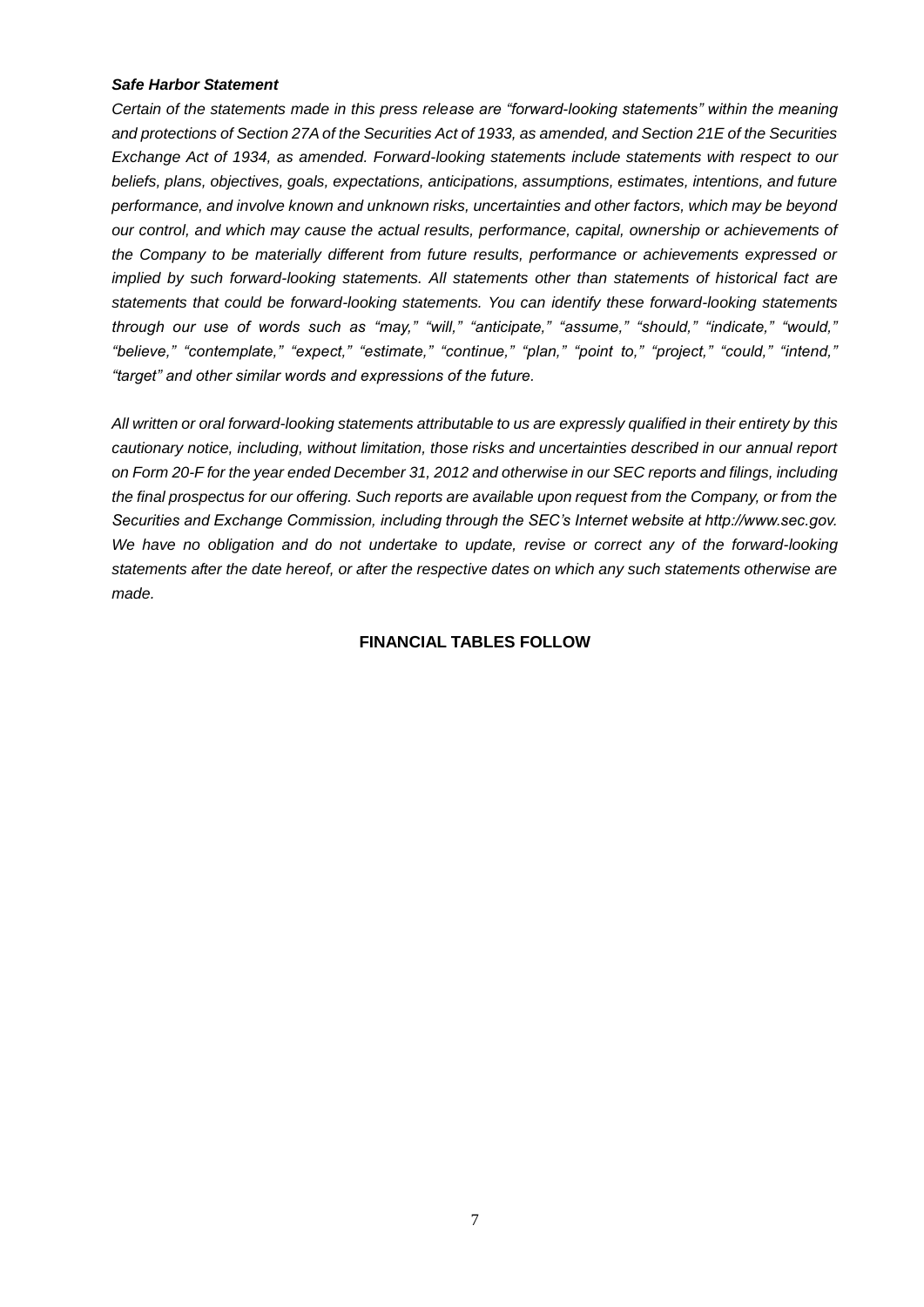#### *Safe Harbor Statement*

*Certain of the statements made in this press release are "forward-looking statements" within the meaning and protections of Section 27A of the Securities Act of 1933, as amended, and Section 21E of the Securities Exchange Act of 1934, as amended. Forward-looking statements include statements with respect to our beliefs, plans, objectives, goals, expectations, anticipations, assumptions, estimates, intentions, and future performance, and involve known and unknown risks, uncertainties and other factors, which may be beyond our control, and which may cause the actual results, performance, capital, ownership or achievements of the Company to be materially different from future results, performance or achievements expressed or implied by such forward-looking statements. All statements other than statements of historical fact are statements that could be forward-looking statements. You can identify these forward-looking statements through our use of words such as "may," "will," "anticipate," "assume," "should," "indicate," "would," "believe," "contemplate," "expect," "estimate," "continue," "plan," "point to," "project," "could," "intend," "target" and other similar words and expressions of the future.* 

*All written or oral forward-looking statements attributable to us are expressly qualified in their entirety by this cautionary notice, including, without limitation, those risks and uncertainties described in our annual report on Form 20-F for the year ended December 31, 2012 and otherwise in our SEC reports and filings, including the final prospectus for our offering. Such reports are available upon request from the Company, or from the Securities and Exchange Commission, including through the SEC's Internet website at http://www.sec.gov. We have no obligation and do not undertake to update, revise or correct any of the forward-looking statements after the date hereof, or after the respective dates on which any such statements otherwise are made.*

### **FINANCIAL TABLES FOLLOW**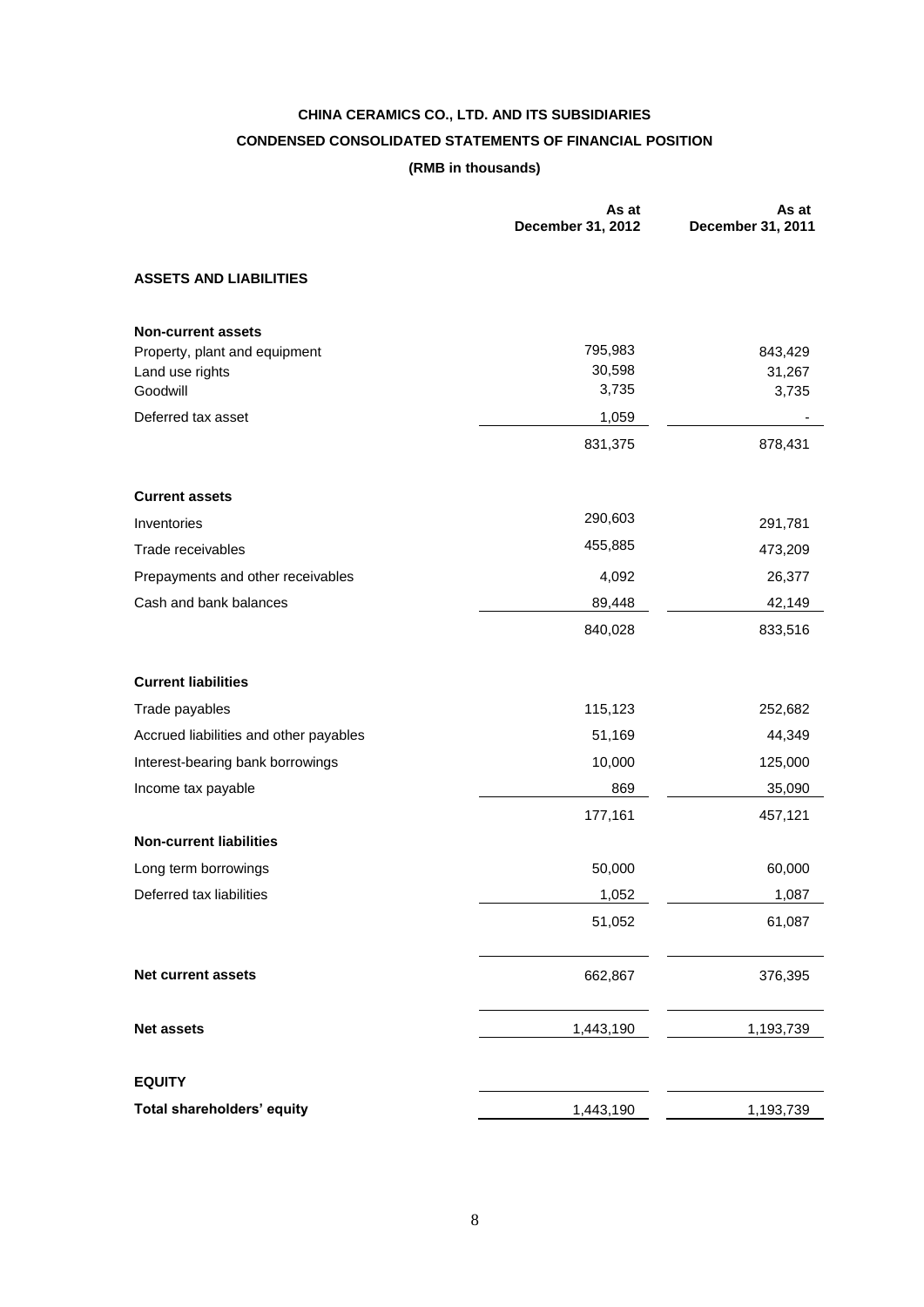# **CHINA CERAMICS CO., LTD. AND ITS SUBSIDIARIES CONDENSED CONSOLIDATED STATEMENTS OF FINANCIAL POSITION (RMB in thousands)**

|                                                  | As at<br>December 31, 2012 | As at<br>December 31, 2011 |
|--------------------------------------------------|----------------------------|----------------------------|
| <b>ASSETS AND LIABILITIES</b>                    |                            |                            |
| <b>Non-current assets</b>                        | 795,983                    |                            |
| Property, plant and equipment<br>Land use rights | 30,598                     | 843,429<br>31,267          |
| Goodwill                                         | 3,735                      | 3,735                      |
| Deferred tax asset                               | 1,059                      |                            |
|                                                  | 831,375                    | 878,431                    |
| <b>Current assets</b>                            |                            |                            |
| Inventories                                      | 290,603                    | 291,781                    |
| Trade receivables                                | 455,885                    | 473,209                    |
| Prepayments and other receivables                | 4,092                      | 26,377                     |
| Cash and bank balances                           | 89,448                     | 42,149                     |
|                                                  | 840,028                    | 833,516                    |
| <b>Current liabilities</b>                       |                            |                            |
| Trade payables                                   | 115,123                    | 252,682                    |
| Accrued liabilities and other payables           | 51,169                     | 44,349                     |
| Interest-bearing bank borrowings                 | 10,000                     | 125,000                    |
| Income tax payable                               | 869                        | 35,090                     |
|                                                  | 177,161                    | 457,121                    |
| <b>Non-current liabilities</b>                   |                            |                            |
| Long term borrowings                             | 50,000                     | 60,000                     |
| Deferred tax liabilities                         | 1,052                      | 1,087                      |
|                                                  | 51,052                     | 61,087                     |
| <b>Net current assets</b>                        | 662,867                    | 376,395                    |
| <b>Net assets</b>                                | 1,443,190                  | 1,193,739                  |
| <b>EQUITY</b>                                    |                            |                            |
| Total shareholders' equity                       | 1,443,190                  | 1,193,739                  |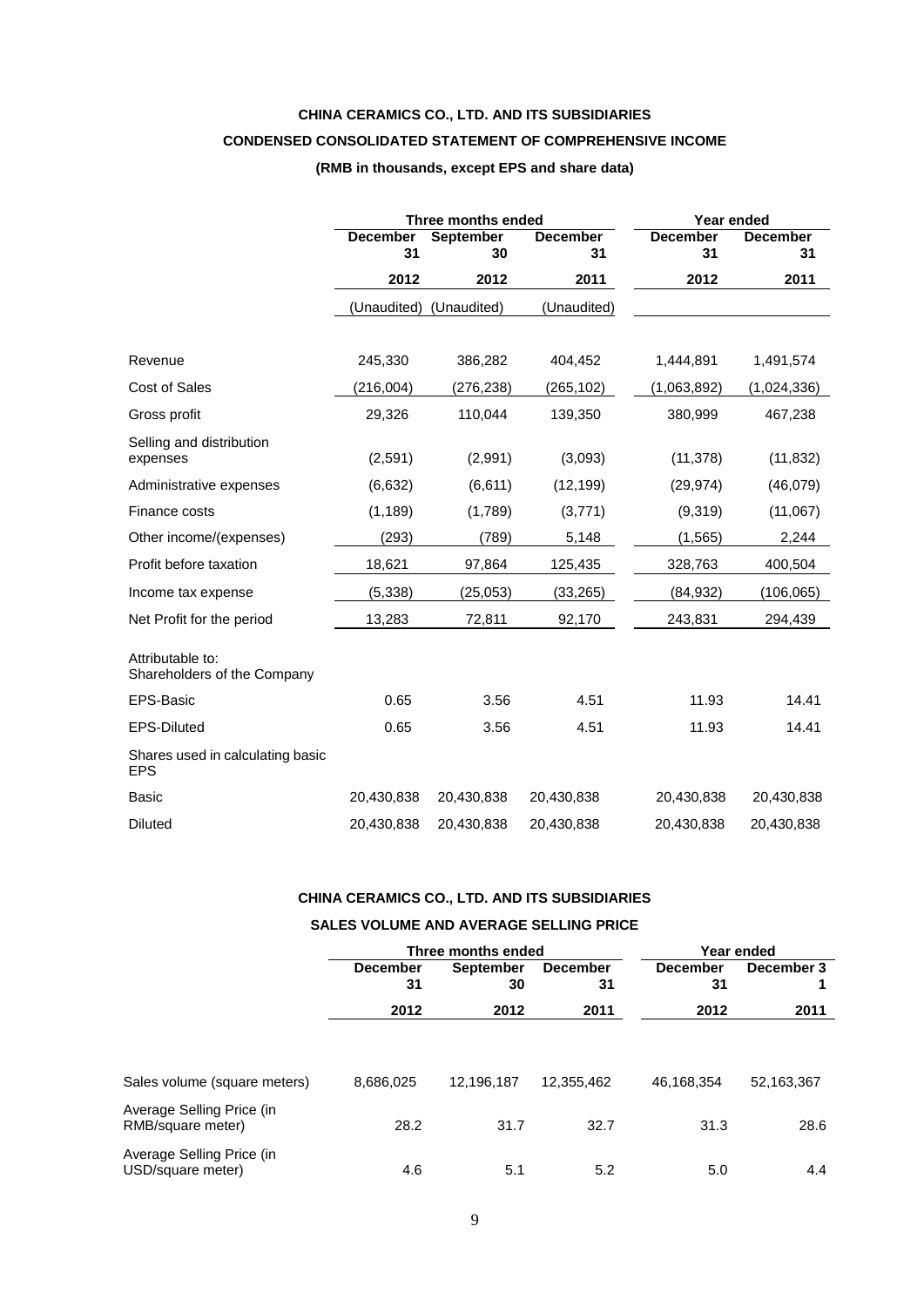# **CHINA CERAMICS CO., LTD. AND ITS SUBSIDIARIES**

# **CONDENSED CONSOLIDATED STATEMENT OF COMPREHENSIVE INCOME**

### **(RMB in thousands, except EPS and share data)**

|                                                 |                       | Three months ended | Year ended            |                       |                       |
|-------------------------------------------------|-----------------------|--------------------|-----------------------|-----------------------|-----------------------|
|                                                 | <b>December</b><br>31 | September<br>30    | <b>December</b><br>31 | <b>December</b><br>31 | <b>December</b><br>31 |
|                                                 | 2012                  | 2012               | 2011                  | 2012                  | 2011                  |
|                                                 | (Unaudited)           | (Unaudited)        | (Unaudited)           |                       |                       |
|                                                 |                       |                    |                       |                       |                       |
| Revenue                                         | 245,330               | 386,282            | 404,452               | 1,444,891             | 1,491,574             |
| Cost of Sales                                   | (216,004)             | (276,238)          | (265, 102)            | (1,063,892)           | (1,024,336)           |
| Gross profit                                    | 29,326                | 110,044            | 139,350               | 380,999               | 467,238               |
| Selling and distribution<br>expenses            | (2,591)               | (2,991)            | (3,093)               | (11, 378)             | (11, 832)             |
| Administrative expenses                         | (6,632)               | (6,611)            | (12, 199)             | (29, 974)             | (46,079)              |
| Finance costs                                   | (1, 189)              | (1,789)            | (3,771)               | (9,319)               | (11,067)              |
| Other income/(expenses)                         | (293)                 | (789)              | 5,148                 | (1, 565)              | 2,244                 |
| Profit before taxation                          | 18,621                | 97,864             | 125,435               | 328,763               | 400,504               |
| Income tax expense                              | (5, 338)              | (25, 053)          | (33, 265)             | (84, 932)             | (106, 065)            |
| Net Profit for the period                       | 13,283                | 72,811             | 92,170                | 243,831               | 294,439               |
| Attributable to:<br>Shareholders of the Company |                       |                    |                       |                       |                       |
| EPS-Basic                                       | 0.65                  | 3.56               | 4.51                  | 11.93                 | 14.41                 |
| EPS-Diluted                                     | 0.65                  | 3.56               | 4.51                  | 11.93                 | 14.41                 |
| Shares used in calculating basic<br><b>EPS</b>  |                       |                    |                       |                       |                       |
| <b>Basic</b>                                    | 20,430,838            | 20,430,838         | 20,430,838            | 20,430,838            | 20,430,838            |
| Diluted                                         | 20,430,838            | 20,430,838         | 20,430,838            | 20,430,838            | 20,430,838            |

# **CHINA CERAMICS CO., LTD. AND ITS SUBSIDIARIES**

#### **SALES VOLUME AND AVERAGE SELLING PRICE**

|                                                |                       | Three months ended                              | Year ended |                       |            |  |
|------------------------------------------------|-----------------------|-------------------------------------------------|------------|-----------------------|------------|--|
|                                                | <b>December</b><br>31 | <b>December</b><br><b>September</b><br>31<br>30 |            | <b>December</b><br>31 | December 3 |  |
|                                                | 2012                  | 2012                                            | 2011       | 2012                  | 2011       |  |
| Sales volume (square meters)                   | 8,686,025             | 12,196,187                                      | 12,355,462 | 46,168,354            | 52,163,367 |  |
| Average Selling Price (in<br>RMB/square meter) | 28.2                  | 31.7                                            | 32.7       | 31.3                  | 28.6       |  |
| Average Selling Price (in<br>USD/square meter) | 4.6                   | 5.1                                             | 5.2        | 5.0                   | 4.4        |  |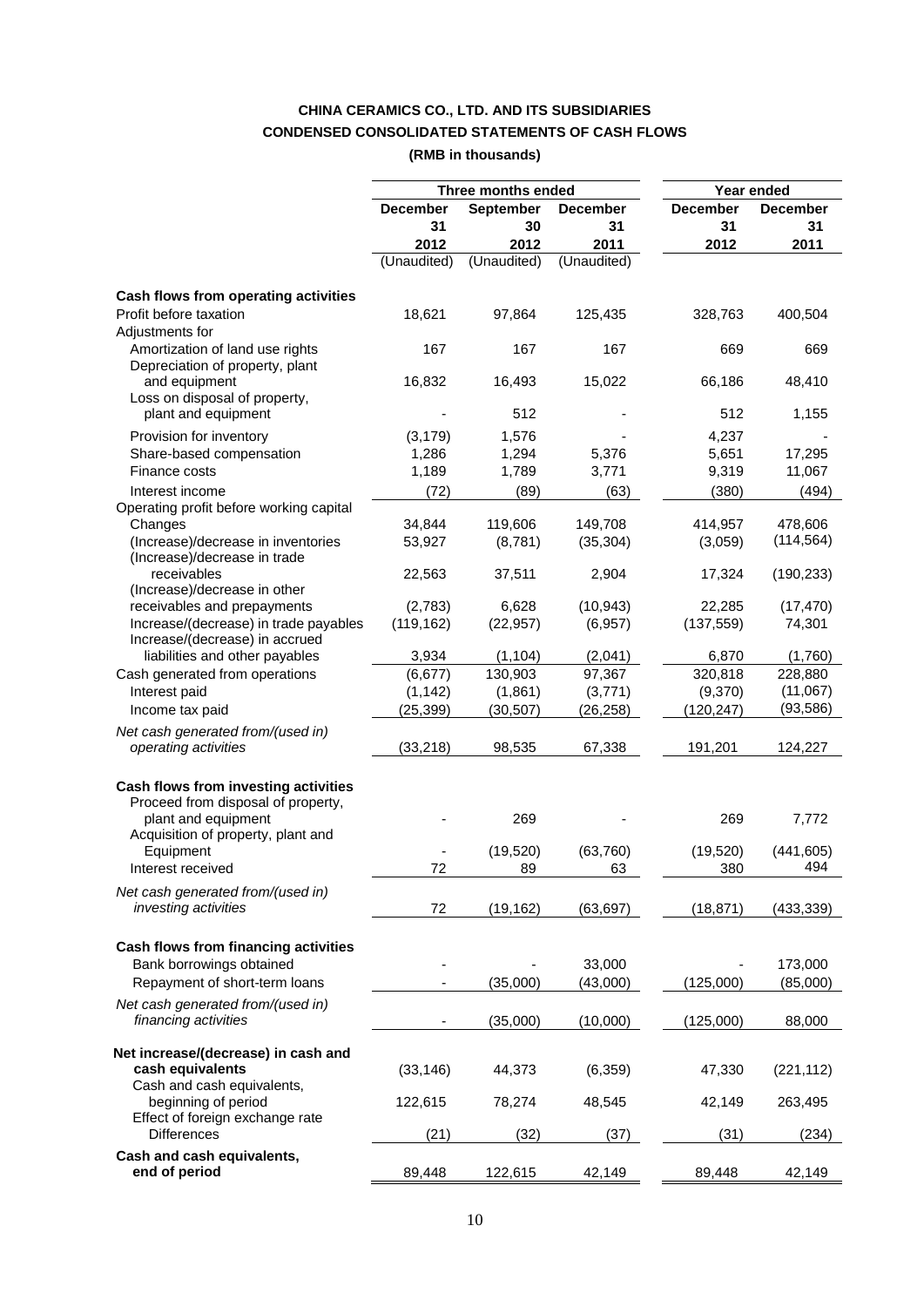# **CHINA CERAMICS CO., LTD. AND ITS SUBSIDIARIES CONDENSED CONSOLIDATED STATEMENTS OF CASH FLOWS**

**(RMB in thousands)**

|                                                                    |                   | Three months ended  |                   | Year ended      |                       |
|--------------------------------------------------------------------|-------------------|---------------------|-------------------|-----------------|-----------------------|
|                                                                    | <b>December</b>   | <b>September</b>    | <b>December</b>   | <b>December</b> | <b>December</b>       |
|                                                                    | 31                | 30                  | 31                | 31              | 31                    |
|                                                                    | 2012              | 2012                | 2011              | 2012            | 2011                  |
|                                                                    | (Unaudited)       | (Unaudited)         | (Unaudited)       |                 |                       |
|                                                                    |                   |                     |                   |                 |                       |
| Cash flows from operating activities                               |                   |                     |                   |                 |                       |
| Profit before taxation<br>Adjustments for                          | 18,621            | 97,864              | 125,435           | 328,763         | 400,504               |
| Amortization of land use rights<br>Depreciation of property, plant | 167               | 167                 | 167               | 669             | 669                   |
| and equipment<br>Loss on disposal of property,                     | 16,832            | 16,493              | 15,022            | 66,186          | 48,410                |
| plant and equipment                                                |                   | 512                 |                   | 512             | 1,155                 |
| Provision for inventory                                            | (3, 179)          | 1,576               |                   | 4,237           |                       |
| Share-based compensation                                           | 1,286             | 1,294               | 5,376             | 5,651           | 17,295                |
| Finance costs                                                      | 1,189             | 1,789               | 3,771             | 9,319           | 11,067                |
| Interest income                                                    | (72)              | (89)                | (63)              | (380)           | (494)                 |
| Operating profit before working capital                            | 34,844            | 119,606             | 149,708           | 414,957         |                       |
| Changes                                                            |                   |                     |                   |                 | 478,606<br>(114, 564) |
| (Increase)/decrease in inventories<br>(Increase)/decrease in trade | 53,927            | (8,781)             | (35, 304)         | (3,059)         |                       |
| receivables<br>(Increase)/decrease in other                        | 22,563            | 37,511              | 2,904             | 17,324          | (190, 233)            |
| receivables and prepayments                                        | (2,783)           | 6,628               | (10, 943)         | 22,285          | (17, 470)             |
| Increase/(decrease) in trade payables                              | (119, 162)        | (22, 957)           | (6,957)           | (137, 559)      | 74,301                |
| Increase/(decrease) in accrued                                     |                   |                     |                   |                 |                       |
| liabilities and other payables                                     | 3,934<br>(6, 677) | (1, 104)<br>130,903 | (2,041)<br>97,367 | 6,870           | (1,760)               |
| Cash generated from operations                                     |                   |                     |                   | 320,818         | 228,880<br>(11,067)   |
| Interest paid                                                      | (1, 142)          | (1,861)             | (3,771)           | (9,370)         | (93, 586)             |
| Income tax paid                                                    | (25, 399)         | (30, 507)           | (26,258)          | (120, 247)      |                       |
| Net cash generated from/(used in)<br>operating activities          | (33, 218)         | 98,535              | 67,338            | 191,201         | 124,227               |
|                                                                    |                   |                     |                   |                 |                       |
| Cash flows from investing activities                               |                   |                     |                   |                 |                       |
| Proceed from disposal of property,                                 |                   |                     |                   |                 |                       |
| plant and equipment                                                |                   | 269                 |                   | 269             | 7,772                 |
| Acquisition of property, plant and                                 |                   |                     |                   |                 |                       |
| Equipment                                                          |                   | (19, 520)           | (63,760)          | (19, 520)       | (441, 605)<br>494     |
| Interest received                                                  | 72                | 89                  | 63                | 380             |                       |
| Net cash generated from/(used in)                                  |                   |                     |                   |                 |                       |
| investing activities                                               | 72                | (19, 162)           | (63, 697)         | (18, 871)       | (433, 339)            |
| Cash flows from financing activities                               |                   |                     |                   |                 |                       |
| Bank borrowings obtained                                           |                   |                     | 33,000            |                 | 173,000               |
| Repayment of short-term loans                                      |                   | (35,000)            | (43,000)          | (125,000)       | (85,000)              |
| Net cash generated from/(used in)                                  |                   |                     |                   |                 |                       |
| financing activities                                               |                   | (35,000)            | (10,000)          | (125,000)       | 88,000                |
|                                                                    |                   |                     |                   |                 |                       |
| Net increase/(decrease) in cash and<br>cash equivalents            | (33, 146)         | 44,373              | (6, 359)          | 47,330          | (221, 112)            |
| Cash and cash equivalents,                                         |                   |                     |                   |                 |                       |
| beginning of period                                                | 122,615           | 78,274              | 48,545            | 42,149          | 263,495               |
| Effect of foreign exchange rate<br><b>Differences</b>              | (21)              | (32)                | (37)              | (31)            | (234)                 |
| Cash and cash equivalents,                                         |                   |                     |                   |                 |                       |
| end of period                                                      | 89,448            | 122,615             | 42,149            | 89,448          | 42,149                |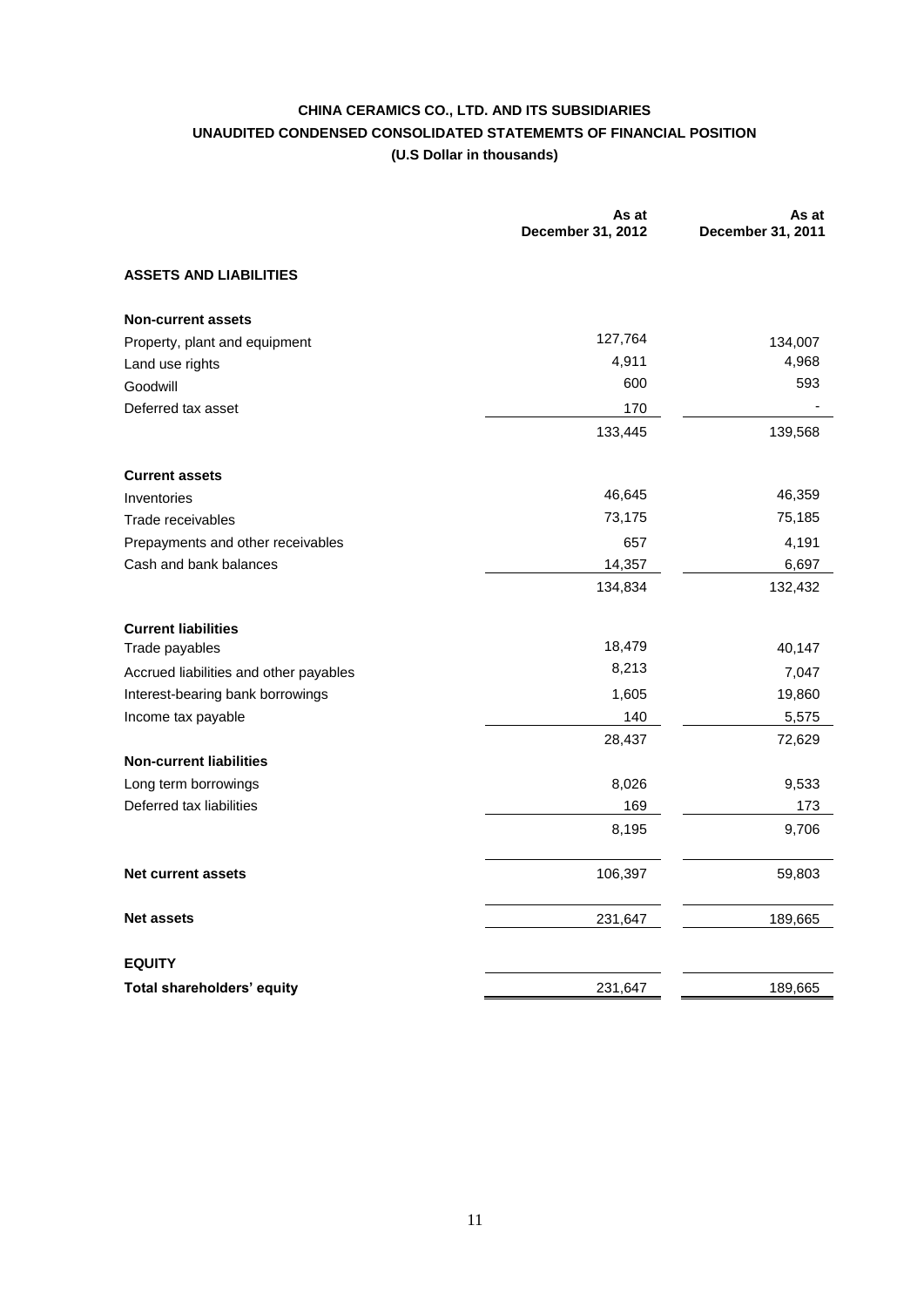# **CHINA CERAMICS CO., LTD. AND ITS SUBSIDIARIES UNAUDITED CONDENSED CONSOLIDATED STATEMEMTS OF FINANCIAL POSITION (U.S Dollar in thousands)**

|                                        | As at<br>December 31, 2012 | As at<br>December 31, 2011 |
|----------------------------------------|----------------------------|----------------------------|
| <b>ASSETS AND LIABILITIES</b>          |                            |                            |
| <b>Non-current assets</b>              |                            |                            |
| Property, plant and equipment          | 127,764                    | 134,007                    |
| Land use rights                        | 4,911                      | 4,968                      |
| Goodwill                               | 600                        | 593                        |
| Deferred tax asset                     | 170                        |                            |
|                                        | 133,445                    | 139,568                    |
| <b>Current assets</b>                  |                            |                            |
| Inventories                            | 46,645                     | 46,359                     |
| Trade receivables                      | 73,175                     | 75,185                     |
| Prepayments and other receivables      | 657                        | 4,191                      |
| Cash and bank balances                 | 14,357                     | 6,697                      |
|                                        | 134,834                    | 132,432                    |
| <b>Current liabilities</b>             |                            |                            |
| Trade payables                         | 18,479                     | 40,147                     |
| Accrued liabilities and other payables | 8,213                      | 7,047                      |
| Interest-bearing bank borrowings       | 1,605                      | 19,860                     |
| Income tax payable                     | 140                        | 5,575                      |
|                                        | 28,437                     | 72,629                     |
| <b>Non-current liabilities</b>         |                            |                            |
| Long term borrowings                   | 8,026                      | 9,533                      |
| Deferred tax liabilities               | 169                        | 173                        |
|                                        | 8,195                      | 9,706                      |
| <b>Net current assets</b>              | 106,397                    | 59,803                     |
| <b>Net assets</b>                      | 231,647                    | 189,665                    |
| <b>EQUITY</b>                          |                            |                            |
| Total shareholders' equity             | 231,647                    | 189,665                    |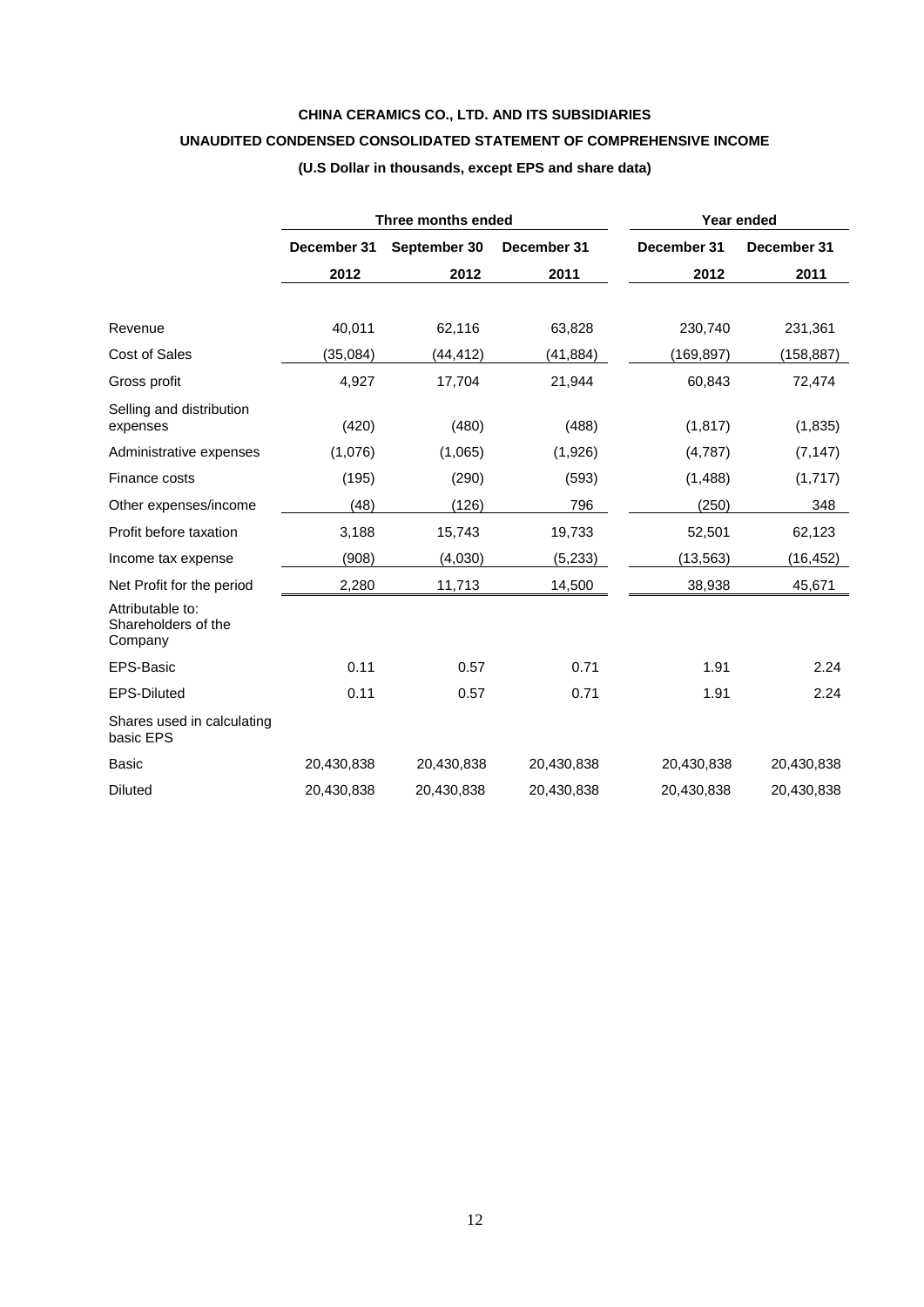# **CHINA CERAMICS CO., LTD. AND ITS SUBSIDIARIES**

# **UNAUDITED CONDENSED CONSOLIDATED STATEMENT OF COMPREHENSIVE INCOME**

|                                                    | Three months ended |              |             | Year ended  |             |  |
|----------------------------------------------------|--------------------|--------------|-------------|-------------|-------------|--|
|                                                    | December 31        | September 30 | December 31 | December 31 | December 31 |  |
|                                                    | 2012               | 2012         | 2011        | 2012        | 2011        |  |
|                                                    |                    |              |             |             |             |  |
| Revenue                                            | 40,011             | 62,116       | 63,828      | 230,740     | 231,361     |  |
| <b>Cost of Sales</b>                               | (35,084)           | (44, 412)    | (41, 884)   | (169, 897)  | (158, 887)  |  |
| Gross profit                                       | 4,927              | 17,704       | 21,944      | 60,843      | 72,474      |  |
| Selling and distribution<br>expenses               | (420)              | (480)        | (488)       | (1, 817)    | (1,835)     |  |
| Administrative expenses                            | (1,076)            | (1,065)      | (1,926)     | (4,787)     | (7, 147)    |  |
| Finance costs                                      | (195)              | (290)        | (593)       | (1, 488)    | (1,717)     |  |
| Other expenses/income                              | (48)               | (126)        | 796         | (250)       | 348         |  |
| Profit before taxation                             | 3,188              | 15,743       | 19,733      | 52,501      | 62,123      |  |
| Income tax expense                                 | (908)              | (4,030)      | (5,233)     | (13,563)    | (16,452)    |  |
| Net Profit for the period                          | 2,280              | 11,713       | 14,500      | 38,938      | 45,671      |  |
| Attributable to:<br>Shareholders of the<br>Company |                    |              |             |             |             |  |
| EPS-Basic                                          | 0.11               | 0.57         | 0.71        | 1.91        | 2.24        |  |
| <b>EPS-Diluted</b>                                 | 0.11               | 0.57         | 0.71        | 1.91        | 2.24        |  |
| Shares used in calculating<br>basic EPS            |                    |              |             |             |             |  |
| <b>Basic</b>                                       | 20,430,838         | 20,430,838   | 20,430,838  | 20,430,838  | 20,430,838  |  |
| <b>Diluted</b>                                     | 20,430,838         | 20,430,838   | 20,430,838  | 20,430,838  | 20,430,838  |  |

# **(U.S Dollar in thousands, except EPS and share data)**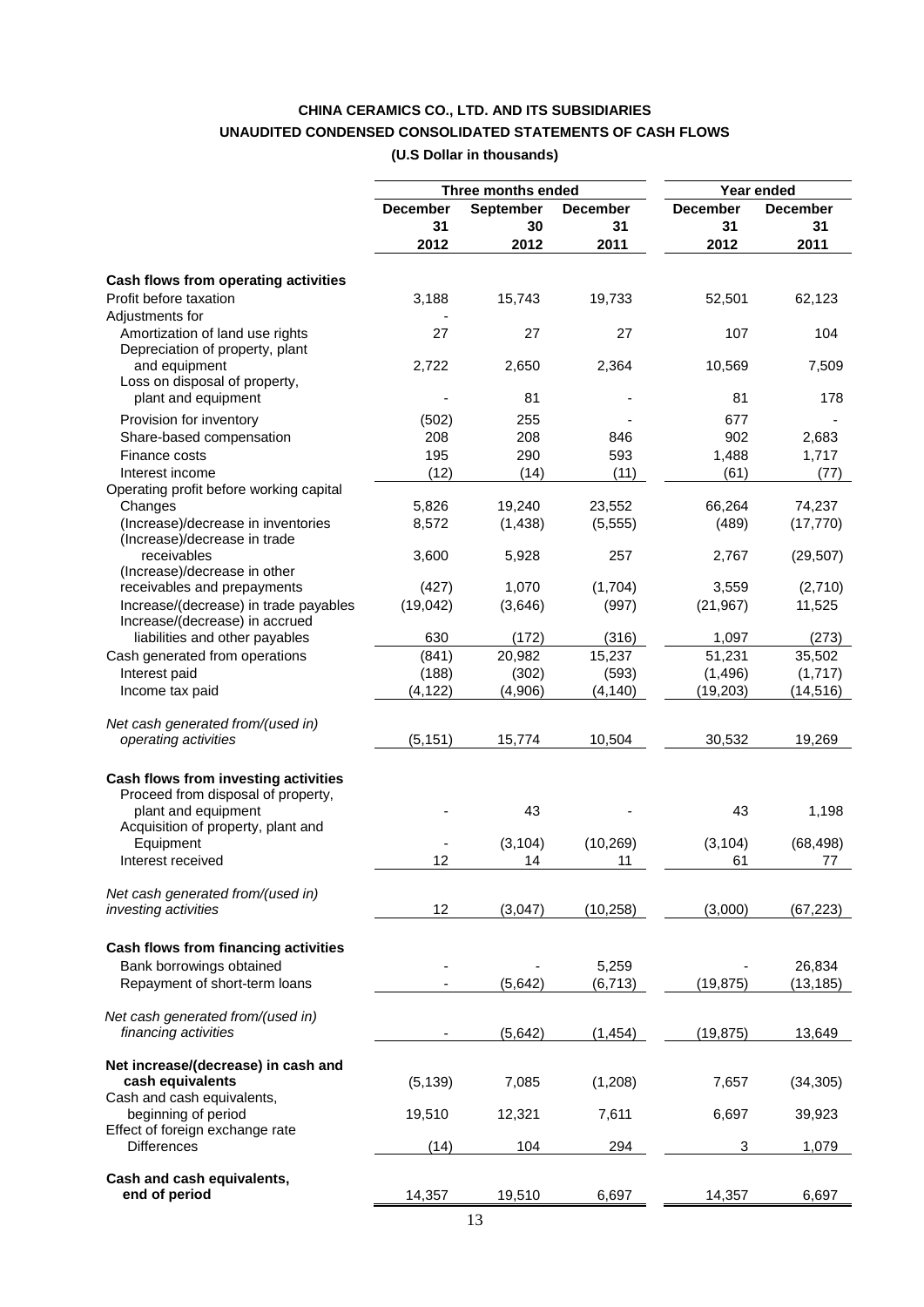# **CHINA CERAMICS CO., LTD. AND ITS SUBSIDIARIES UNAUDITED CONDENSED CONSOLIDATED STATEMENTS OF CASH FLOWS (U.S Dollar in thousands)**

|                                         |                 | Three months ended |           | Year ended      |                 |
|-----------------------------------------|-----------------|--------------------|-----------|-----------------|-----------------|
|                                         | <b>December</b> | September          | December  | <b>December</b> | <b>December</b> |
|                                         | 31              | 30                 | 31        | 31              | 31              |
|                                         | 2012            | 2012               | 2011      | 2012            | 2011            |
| Cash flows from operating activities    |                 |                    |           |                 |                 |
| Profit before taxation                  | 3,188           | 15,743             | 19,733    | 52,501          | 62,123          |
| Adjustments for                         |                 |                    |           |                 |                 |
| Amortization of land use rights         | 27              | 27                 | 27        | 107             | 104             |
| Depreciation of property, plant         |                 |                    |           |                 |                 |
| and equipment                           | 2,722           | 2,650              | 2,364     | 10,569          | 7,509           |
| Loss on disposal of property,           |                 |                    |           |                 |                 |
| plant and equipment                     |                 | 81                 |           | 81              | 178             |
| Provision for inventory                 | (502)           | 255                |           | 677             |                 |
| Share-based compensation                | 208             | 208                | 846       | 902             | 2,683           |
| Finance costs                           | 195             | 290                | 593       | 1,488           | 1,717           |
| Interest income                         |                 |                    |           |                 |                 |
| Operating profit before working capital | (12)            | (14)               | (11)      | (61)            | (77)            |
| Changes                                 | 5,826           | 19,240             | 23,552    | 66,264          | 74,237          |
| (Increase)/decrease in inventories      | 8,572           | (1,438)            | (5, 555)  | (489)           | (17, 770)       |
| (Increase)/decrease in trade            |                 |                    |           |                 |                 |
| receivables                             | 3,600           | 5,928              | 257       | 2,767           | (29, 507)       |
| (Increase)/decrease in other            |                 |                    |           |                 |                 |
| receivables and prepayments             | (427)           | 1,070              | (1,704)   | 3,559           | (2,710)         |
| Increase/(decrease) in trade payables   | (19,042)        | (3,646)            | (997)     | (21, 967)       | 11,525          |
| Increase/(decrease) in accrued          |                 |                    |           |                 |                 |
| liabilities and other payables          | 630             | (172)              | (316)     | 1,097           | (273)           |
| Cash generated from operations          | (841)           | 20,982             | 15,237    | 51,231          | 35,502          |
| Interest paid                           | (188)           | (302)              | (593)     | (1, 496)        | (1,717)         |
| Income tax paid                         | (4, 122)        | (4,906)            | (4, 140)  | (19, 203)       | (14, 516)       |
|                                         |                 |                    |           |                 |                 |
| Net cash generated from/(used in)       |                 |                    |           |                 |                 |
| operating activities                    | (5, 151)        | 15,774             | 10,504    | 30,532          | 19,269          |
|                                         |                 |                    |           |                 |                 |
| Cash flows from investing activities    |                 |                    |           |                 |                 |
| Proceed from disposal of property,      |                 |                    |           |                 |                 |
| plant and equipment                     |                 | 43                 |           | 43              | 1,198           |
| Acquisition of property, plant and      |                 |                    |           |                 |                 |
| Equipment                               |                 | (3, 104)           | (10, 269) | (3, 104)        | (68, 498)       |
| Interest received                       | 12              | 14                 | 11        | 61              | 77              |
|                                         |                 |                    |           |                 |                 |
| Net cash generated from/(used in)       |                 |                    |           |                 |                 |
| investing activities                    | 12              | (3,047)            | (10, 258) | (3,000)         | (67, 223)       |
|                                         |                 |                    |           |                 |                 |
| Cash flows from financing activities    |                 |                    |           |                 |                 |
| Bank borrowings obtained                |                 |                    | 5,259     |                 | 26,834          |
| Repayment of short-term loans           |                 | (5,642)            | (6, 713)  | (19, 875)       | (13, 185)       |
|                                         |                 |                    |           |                 |                 |
| Net cash generated from/(used in)       |                 |                    |           |                 |                 |
| financing activities                    |                 | (5,642)            | (1, 454)  | (19, 875)       | 13,649          |
| Net increase/(decrease) in cash and     |                 |                    |           |                 |                 |
| cash equivalents                        | (5, 139)        | 7,085              | (1,208)   | 7,657           | (34, 305)       |
| Cash and cash equivalents,              |                 |                    |           |                 |                 |
| beginning of period                     | 19,510          | 12,321             | 7,611     | 6,697           | 39,923          |
| Effect of foreign exchange rate         |                 |                    |           |                 |                 |
| <b>Differences</b>                      | (14)            | 104                | 294       | 3               | 1,079           |
|                                         |                 |                    |           |                 |                 |
| Cash and cash equivalents,              |                 |                    |           |                 |                 |
| end of period                           | 14,357          | 19,510             | 6,697     | 14,357          | 6,697           |
|                                         |                 |                    |           |                 |                 |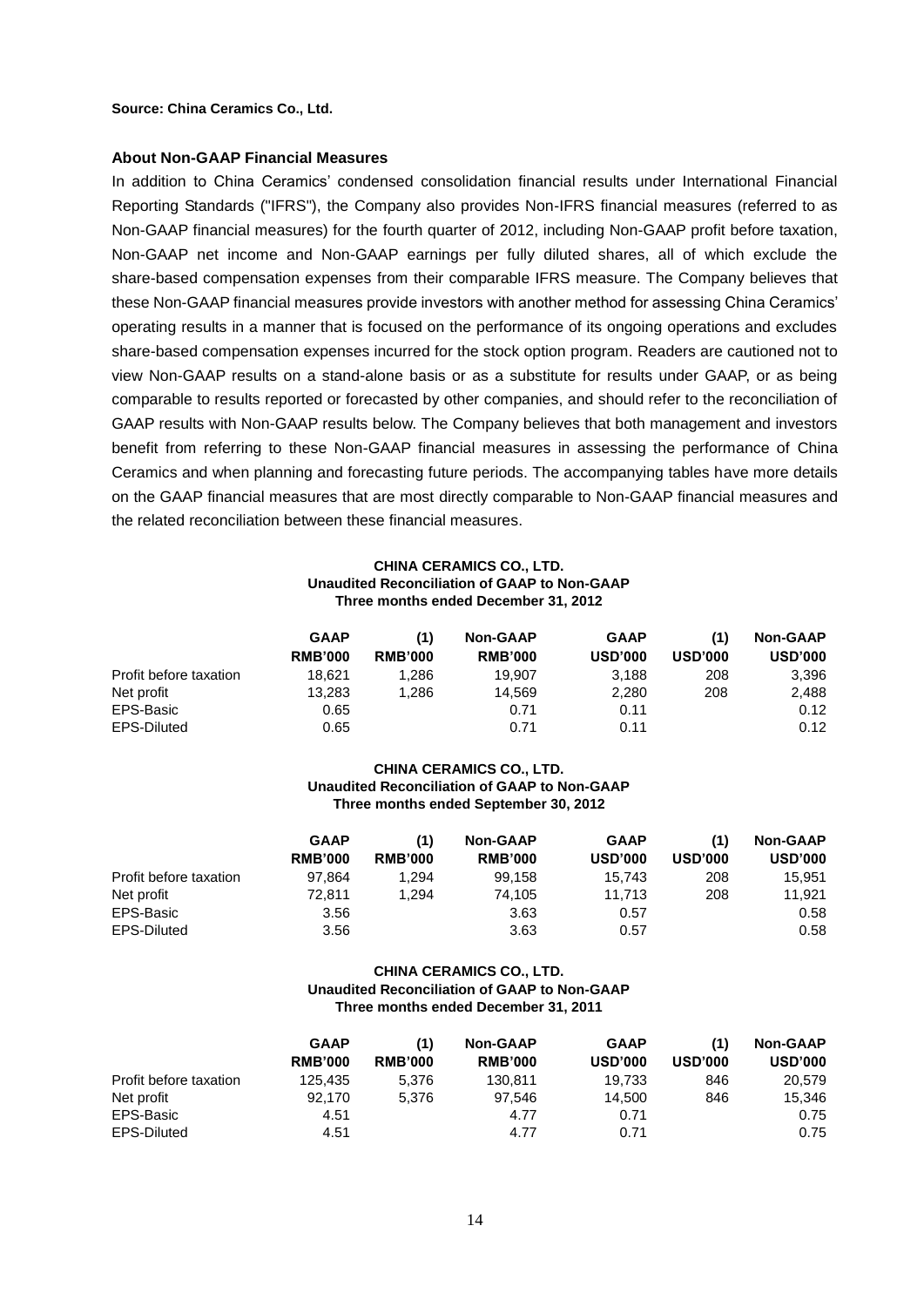**Source: China Ceramics Co., Ltd.**

#### **About Non-GAAP Financial Measures**

In addition to China Ceramics' condensed consolidation financial results under International Financial Reporting Standards ("IFRS"), the Company also provides Non-IFRS financial measures (referred to as Non-GAAP financial measures) for the fourth quarter of 2012, including Non-GAAP profit before taxation, Non-GAAP net income and Non-GAAP earnings per fully diluted shares, all of which exclude the share-based compensation expenses from their comparable IFRS measure. The Company believes that these Non-GAAP financial measures provide investors with another method for assessing China Ceramics' operating results in a manner that is focused on the performance of its ongoing operations and excludes share-based compensation expenses incurred for the stock option program. Readers are cautioned not to view Non-GAAP results on a stand-alone basis or as a substitute for results under GAAP, or as being comparable to results reported or forecasted by other companies, and should refer to the reconciliation of GAAP results with Non-GAAP results below. The Company believes that both management and investors benefit from referring to these Non-GAAP financial measures in assessing the performance of China Ceramics and when planning and forecasting future periods. The accompanying tables have more details on the GAAP financial measures that are most directly comparable to Non-GAAP financial measures and the related reconciliation between these financial measures.

#### **CHINA CERAMICS CO., LTD. Unaudited Reconciliation of GAAP to Non-GAAP Three months ended December 31, 2012**

|                        | <b>GAAP</b><br><b>RMB'000</b> | (1)                              | <b>Non-GAAP</b> | <b>GAAP</b>    | (1)            | <b>Non-GAAP</b> |
|------------------------|-------------------------------|----------------------------------|-----------------|----------------|----------------|-----------------|
|                        |                               | <b>RMB'000</b><br><b>RMB'000</b> | <b>USD'000</b>  | <b>USD'000</b> | <b>USD'000</b> |                 |
| Profit before taxation | 18.621                        | 1.286                            | 19.907          | 3.188          | 208            | 3,396           |
| Net profit             | 13.283                        | 1.286                            | 14.569          | 2.280          | 208            | 2,488           |
| EPS-Basic              | 0.65                          |                                  | 0.71            | 0.11           |                | 0.12            |
| EPS-Diluted            | 0.65                          |                                  | 0.71            | 0.11           |                | 0.12            |

#### **CHINA CERAMICS CO., LTD. Unaudited Reconciliation of GAAP to Non-GAAP Three months ended September 30, 2012**

|                        | <b>GAAP</b>    | (1)            | <b>Non-GAAP</b> | <b>GAAP</b>    | (1)            | <b>Non-GAAP</b> |
|------------------------|----------------|----------------|-----------------|----------------|----------------|-----------------|
|                        | <b>RMB'000</b> | <b>RMB'000</b> | <b>RMB'000</b>  | <b>USD'000</b> | <b>USD'000</b> | <b>USD'000</b>  |
| Profit before taxation | 97.864         | 1,294          | 99.158          | 15.743         | 208            | 15.951          |
| Net profit             | 72.811         | 1.294          | 74.105          | 11.713         | 208            | 11,921          |
| EPS-Basic              | 3.56           |                | 3.63            | 0.57           |                | 0.58            |
| EPS-Diluted            | 3.56           |                | 3.63            | 0.57           |                | 0.58            |

#### **CHINA CERAMICS CO., LTD. Unaudited Reconciliation of GAAP to Non-GAAP Three months ended December 31, 2011**

|                        | <b>GAAP</b>    | (1)            | <b>Non-GAAP</b> | <b>GAAP</b>    | (1)            | <b>Non-GAAP</b> |
|------------------------|----------------|----------------|-----------------|----------------|----------------|-----------------|
|                        | <b>RMB'000</b> | <b>RMB'000</b> | <b>RMB'000</b>  | <b>USD'000</b> | <b>USD'000</b> | <b>USD'000</b>  |
| Profit before taxation | 125.435        | 5.376          | 130.811         | 19.733         | 846            | 20.579          |
| Net profit             | 92.170         | 5.376          | 97.546          | 14.500         | 846            | 15.346          |
| EPS-Basic              | 4.51           |                | 4.77            | 0.71           |                | 0.75            |
| EPS-Diluted            | 4.51           |                | 4.77            | 0.71           |                | 0.75            |